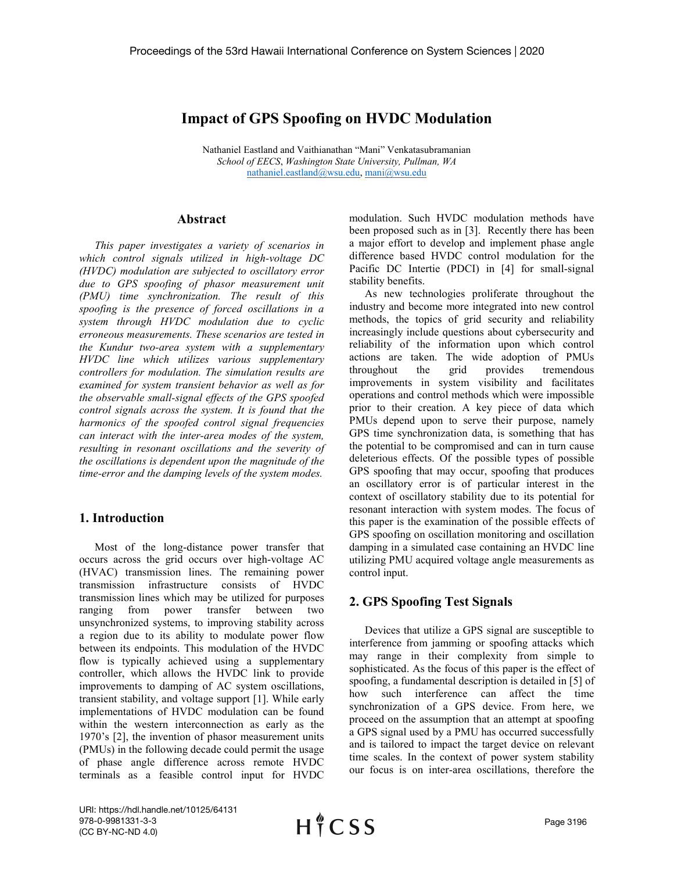# **Impact of GPS Spoofing on HVDC Modulation**

Nathaniel Eastland and Vaithianathan "Mani" Venkatasubramanian *School of EECS*, *Washington State University, Pullman, WA* [nathaniel.eastland@wsu.edu,](mailto:nathaniel.eastland@wsu.edu) [mani@wsu.edu](mailto:mani@wsu.edu)

## **Abstract**

*This paper investigates a variety of scenarios in which control signals utilized in high-voltage DC (HVDC) modulation are subjected to oscillatory error due to GPS spoofing of phasor measurement unit (PMU) time synchronization. The result of this spoofing is the presence of forced oscillations in a system through HVDC modulation due to cyclic erroneous measurements. These scenarios are tested in the Kundur two-area system with a supplementary HVDC line which utilizes various supplementary controllers for modulation. The simulation results are examined for system transient behavior as well as for the observable small-signal effects of the GPS spoofed control signals across the system. It is found that the harmonics of the spoofed control signal frequencies can interact with the inter-area modes of the system, resulting in resonant oscillations and the severity of the oscillations is dependent upon the magnitude of the time-error and the damping levels of the system modes.*

# **1. Introduction**

Most of the long-distance power transfer that occurs across the grid occurs over high-voltage AC (HVAC) transmission lines. The remaining power transmission infrastructure consists of HVDC transmission lines which may be utilized for purposes ranging from power transfer between two unsynchronized systems, to improving stability across a region due to its ability to modulate power flow between its endpoints. This modulation of the HVDC flow is typically achieved using a supplementary controller, which allows the HVDC link to provide improvements to damping of AC system oscillations, transient stability, and voltage support [1]. While early implementations of HVDC modulation can be found within the western interconnection as early as the 1970's [2], the invention of phasor measurement units (PMUs) in the following decade could permit the usage of phase angle difference across remote HVDC terminals as a feasible control input for HVDC

modulation. Such HVDC modulation methods have been proposed such as in [3]. Recently there has been a major effort to develop and implement phase angle difference based HVDC control modulation for the Pacific DC Intertie (PDCI) in [4] for small-signal stability benefits.

As new technologies proliferate throughout the industry and become more integrated into new control methods, the topics of grid security and reliability increasingly include questions about cybersecurity and reliability of the information upon which control actions are taken. The wide adoption of PMUs throughout the grid provides tremendous improvements in system visibility and facilitates operations and control methods which were impossible prior to their creation. A key piece of data which PMUs depend upon to serve their purpose, namely GPS time synchronization data, is something that has the potential to be compromised and can in turn cause deleterious effects. Of the possible types of possible GPS spoofing that may occur, spoofing that produces an oscillatory error is of particular interest in the context of oscillatory stability due to its potential for resonant interaction with system modes. The focus of this paper is the examination of the possible effects of GPS spoofing on oscillation monitoring and oscillation damping in a simulated case containing an HVDC line utilizing PMU acquired voltage angle measurements as control input.

# **2. GPS Spoofing Test Signals**

Devices that utilize a GPS signal are susceptible to interference from jamming or spoofing attacks which may range in their complexity from simple to sophisticated. As the focus of this paper is the effect of spoofing, a fundamental description is detailed in [5] of how such interference can affect the time synchronization of a GPS device. From here, we proceed on the assumption that an attempt at spoofing a GPS signal used by a PMU has occurred successfully and is tailored to impact the target device on relevant time scales. In the context of power system stability our focus is on inter-area oscillations, therefore the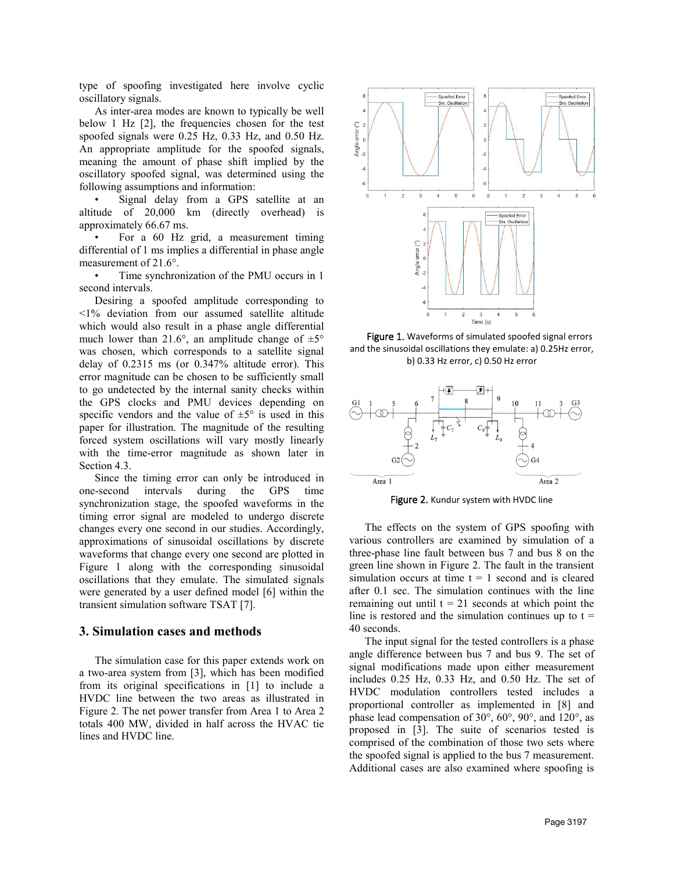type of spoofing investigated here involve cyclic oscillatory signals.

As inter-area modes are known to typically be well below 1 Hz [2], the frequencies chosen for the test spoofed signals were 0.25 Hz, 0.33 Hz, and 0.50 Hz. An appropriate amplitude for the spoofed signals, meaning the amount of phase shift implied by the oscillatory spoofed signal, was determined using the following assumptions and information:

Signal delay from a GPS satellite at an altitude of 20,000 km (directly overhead) is approximately 66.67 ms.

• For a 60 Hz grid, a measurement timing differential of 1 ms implies a differential in phase angle measurement of 21.6°.

• Time synchronization of the PMU occurs in 1 second intervals.

Desiring a spoofed amplitude corresponding to <1% deviation from our assumed satellite altitude which would also result in a phase angle differential much lower than 21.6°, an amplitude change of  $\pm 5^{\circ}$ was chosen, which corresponds to a satellite signal delay of 0.2315 ms (or 0.347% altitude error). This error magnitude can be chosen to be sufficiently small to go undetected by the internal sanity checks within the GPS clocks and PMU devices depending on specific vendors and the value of  $\pm 5^{\circ}$  is used in this paper for illustration. The magnitude of the resulting forced system oscillations will vary mostly linearly with the time-error magnitude as shown later in Section 4.3.

Since the timing error can only be introduced in one-second intervals during the GPS time synchronization stage, the spoofed waveforms in the timing error signal are modeled to undergo discrete changes every one second in our studies. Accordingly, approximations of sinusoidal oscillations by discrete waveforms that change every one second are plotted in Figure 1 along with the corresponding sinusoidal oscillations that they emulate. The simulated signals were generated by a user defined model [6] within the transient simulation software TSAT [7].

### **3. Simulation cases and methods**

The simulation case for this paper extends work on a two-area system from [3], which has been modified from its original specifications in [1] to include a HVDC line between the two areas as illustrated in Figure 2. The net power transfer from Area 1 to Area 2 totals 400 MW, divided in half across the HVAC tie lines and HVDC line.



Figure 1. Waveforms of simulated spoofed signal errors and the sinusoidal oscillations they emulate: a) 0.25Hz error, b) 0.33 Hz error, c) 0.50 Hz error



Figure 2. Kundur system with HVDC line

The effects on the system of GPS spoofing with various controllers are examined by simulation of a three-phase line fault between bus 7 and bus 8 on the green line shown in Figure 2. The fault in the transient simulation occurs at time  $t = 1$  second and is cleared after 0.1 sec. The simulation continues with the line remaining out until  $t = 21$  seconds at which point the line is restored and the simulation continues up to  $t =$ 40 seconds.

The input signal for the tested controllers is a phase angle difference between bus 7 and bus 9. The set of signal modifications made upon either measurement includes 0.25 Hz, 0.33 Hz, and 0.50 Hz. The set of HVDC modulation controllers tested includes a proportional controller as implemented in [8] and phase lead compensation of 30°, 60°, 90°, and 120°, as proposed in [3]. The suite of scenarios tested is comprised of the combination of those two sets where the spoofed signal is applied to the bus 7 measurement. Additional cases are also examined where spoofing is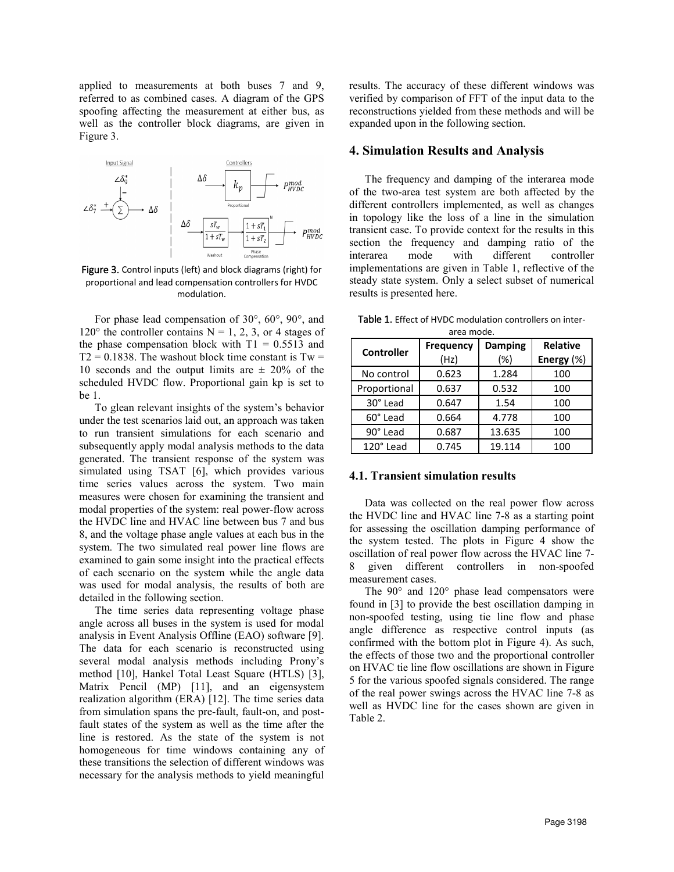applied to measurements at both buses 7 and 9, referred to as combined cases. A diagram of the GPS spoofing affecting the measurement at either bus, as well as the controller block diagrams, are given in Figure 3.



proportional and lead compensation controllers for HVDC modulation.

For phase lead compensation of 30°, 60°, 90°, and 120 $\degree$  the controller contains N = 1, 2, 3, or 4 stages of the phase compensation block with  $T1 = 0.5513$  and  $T2 = 0.1838$ . The washout block time constant is  $Tw =$ 10 seconds and the output limits are  $\pm$  20% of the scheduled HVDC flow. Proportional gain kp is set to be 1.

To glean relevant insights of the system's behavior under the test scenarios laid out, an approach was taken to run transient simulations for each scenario and subsequently apply modal analysis methods to the data generated. The transient response of the system was simulated using TSAT [6], which provides various time series values across the system. Two main measures were chosen for examining the transient and modal properties of the system: real power-flow across the HVDC line and HVAC line between bus 7 and bus 8, and the voltage phase angle values at each bus in the system. The two simulated real power line flows are examined to gain some insight into the practical effects of each scenario on the system while the angle data was used for modal analysis, the results of both are detailed in the following section.

The time series data representing voltage phase angle across all buses in the system is used for modal analysis in Event Analysis Offline (EAO) software [9]. The data for each scenario is reconstructed using several modal analysis methods including Prony's method [10], Hankel Total Least Square (HTLS) [3], Matrix Pencil (MP) [11], and an eigensystem realization algorithm (ERA) [12]. The time series data from simulation spans the pre-fault, fault-on, and postfault states of the system as well as the time after the line is restored. As the state of the system is not homogeneous for time windows containing any of these transitions the selection of different windows was necessary for the analysis methods to yield meaningful

results. The accuracy of these different windows was verified by comparison of FFT of the input data to the reconstructions yielded from these methods and will be expanded upon in the following section.

## **4. Simulation Results and Analysis**

The frequency and damping of the interarea mode of the two-area test system are both affected by the different controllers implemented, as well as changes in topology like the loss of a line in the simulation transient case. To provide context for the results in this section the frequency and damping ratio of the interarea mode with different controller implementations are given in Table 1, reflective of the steady state system. Only a select subset of numerical results is presented here.

| area mode.        |                  |                |                 |  |
|-------------------|------------------|----------------|-----------------|--|
| <b>Controller</b> | <b>Frequency</b> | <b>Damping</b> | <b>Relative</b> |  |
|                   | (Hz)             | $(\%)$         | Energy $(\%)$   |  |
| No control        | 0.623            | 1.284          | 100             |  |
| Proportional      | 0.637            | 0.532          | 100             |  |
| 30° Lead          | 0.647            | 1.54           | 100             |  |
| 60° Lead          | 0.664            | 4.778          | 100             |  |
| 90° Lead          | 0.687            | 13.635         | 100             |  |
| 120° Lead         | 0.745            | 19.114         | 100             |  |

Table 1. Effect of HVDC modulation controllers on inter-

#### **4.1. Transient simulation results**

Data was collected on the real power flow across the HVDC line and HVAC line 7-8 as a starting point for assessing the oscillation damping performance of the system tested. The plots in Figure 4 show the oscillation of real power flow across the HVAC line 7- 8 given different controllers in non-spoofed measurement cases.

The 90° and 120° phase lead compensators were found in [3] to provide the best oscillation damping in non-spoofed testing, using tie line flow and phase angle difference as respective control inputs (as confirmed with the bottom plot in Figure 4). As such, the effects of those two and the proportional controller on HVAC tie line flow oscillations are shown in Figure 5 for the various spoofed signals considered. The range of the real power swings across the HVAC line 7-8 as well as HVDC line for the cases shown are given in Table 2.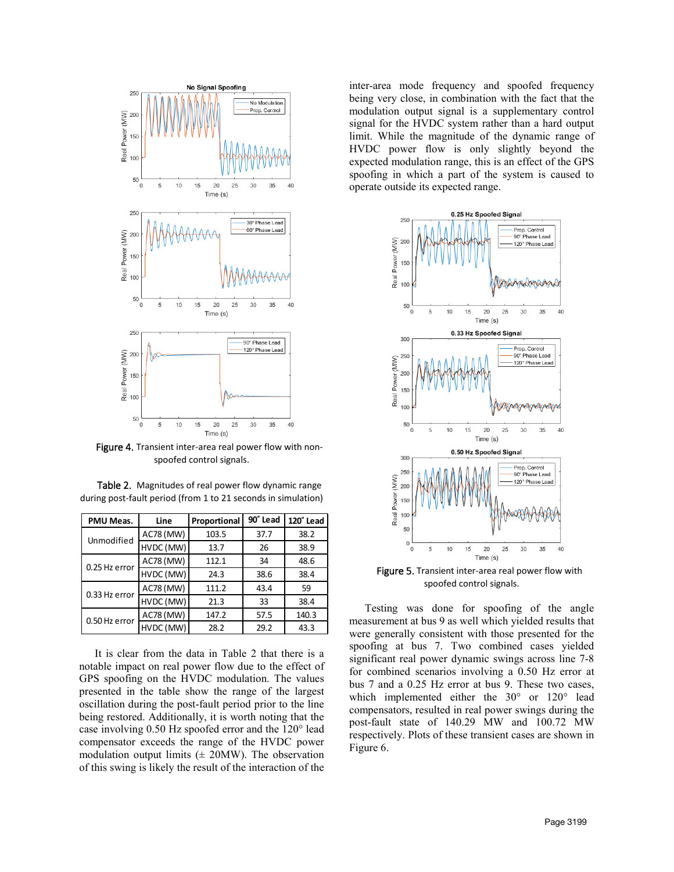

Figure 4. Transient inter-area real power flow with nonspoofed control signals.

| Table 2. Magnitudes of real power flow dynamic range          |
|---------------------------------------------------------------|
| during post-fault period (from 1 to 21 seconds in simulation) |

| PMU Meas.     | Line             | Proportional | 90° Lead | 120° Lead |
|---------------|------------------|--------------|----------|-----------|
| Unmodified    | <b>AC78 (MW)</b> | 103.5        | 37.7     | 38.2      |
|               | HVDC (MW)        | 13.7         | 26       | 38.9      |
| 0.25 Hz error | <b>AC78 (MW)</b> | 112.1        | 34       | 48.6      |
|               | HVDC (MW)        | 24.3         | 38.6     | 38.4      |
| 0.33 Hz error | AC78 (MW)        | 111.2        | 43.4     | 59        |
|               | HVDC (MW)        | 21.3         | 33       | 38.4      |
| 0.50 Hz error | <b>AC78 (MW)</b> | 147.2        | 57.5     | 140.3     |
|               | HVDC (MW)        | 28.2         | 29.2     | 43.3      |

It is clear from the data in Table 2 that there is a notable impact on real power flow due to the effect of GPS spoofing on the HVDC modulation. The values presented in the table show the range of the largest oscillation during the post-fault period prior to the line being restored. Additionally, it is worth noting that the case involving 0.50 Hz spoofed error and the 120° lead compensator exceeds the range of the HVDC power modulation output limits  $(± 20MW)$ . The observation of this swing is likely the result of the interaction of the inter-area mode frequency and spoofed frequency being very close, in combination with the fact that the modulation output signal is a supplementary control signal for the HVDC system rather than a hard output limit. While the magnitude of the dynamic range of HVDC power flow is only slightly beyond the expected modulation range, this is an effect of the GPS spoofing in which a part of the system is caused to operate outside its expected range.



Figure 5. Transient inter-area real power flow with spoofed control signals.

Testing was done for spoofing of the angle measurement at bus 9 as well which yielded results that were generally consistent with those presented for the spoofing at bus 7. Two combined cases yielded significant real power dynamic swings across line 7-8 for combined scenarios involving a 0.50 Hz error at bus 7 and a 0.25 Hz error at bus 9. These two cases, which implemented either the 30° or 120° lead compensators, resulted in real power swings during the post-fault state of 140.29 MW and 100.72 MW respectively. Plots of these transient cases are shown in Figure 6.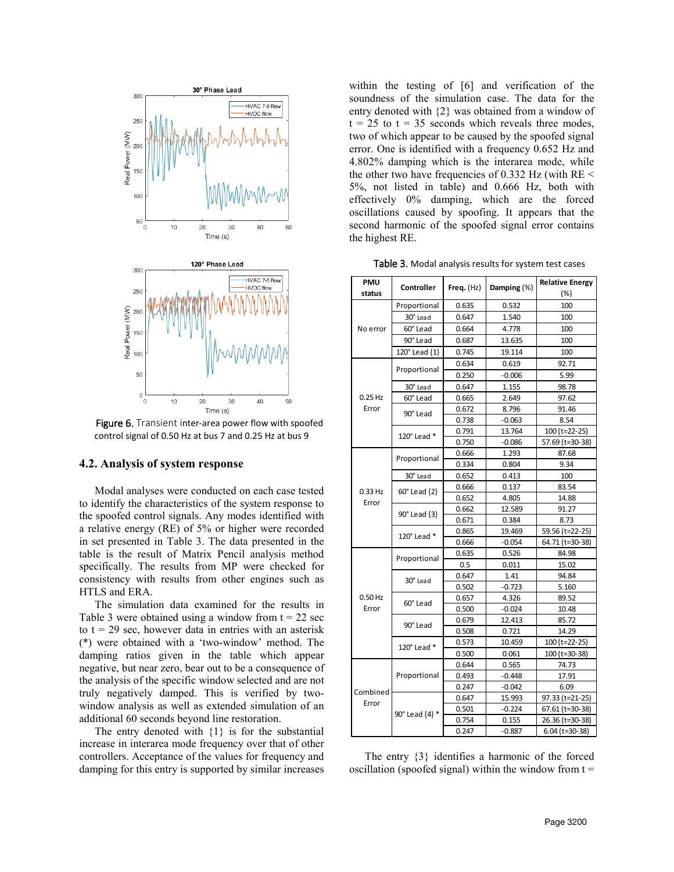

Figure 6. Transient inter-area power flow with spoofed control signal of 0.50 Hz at bus 7 and 0.25 Hz at bus 9

#### **4.2. Analysis of system response**

Modal analyses were conducted on each case tested to identify the characteristics of the system response to the spoofed control signals. Any modes identified with a relative energy (RE) of 5% or higher were recorded in set presented in Table 3. The data presented in the table is the result of Matrix Pencil analysis method specifically. The results from MP were checked for consistency with results from other engines such as HTLS and ERA.

The simulation data examined for the results in Table 3 were obtained using a window from  $t = 22$  sec to  $t = 29$  sec, however data in entries with an asterisk (\*) were obtained with a 'two-window' method. The damping ratios given in the table which appear negative, but near zero, bear out to be a consequence of the analysis of the specific window selected and are not truly negatively damped. This is verified by twowindow analysis as well as extended simulation of an additional 60 seconds beyond line restoration.

The entry denoted with  $\{1\}$  is for the substantial increase in interarea mode frequency over that of other controllers. Acceptance of the values for frequency and damping for this entry is supported by similar increases within the testing of [6] and verification of the soundness of the simulation case. The data for the entry denoted with {2} was obtained from a window of  $t = 25$  to  $t = 35$  seconds which reveals three modes, two of which appear to be caused by the spoofed signal error. One is identified with a frequency 0.652 Hz and 4.802% damping which is the interarea mode, while the other two have frequencies of 0.332 Hz (with RE < 5%, not listed in table) and 0.666 Hz, both with effectively 0% damping, which are the forced oscillations caused by spoofing. It appears that the second harmonic of the spoofed signal error contains the highest RE.

Table 3. Modal analysis results for system test cases

| <b>PMU</b> | Controller     | Freq. $(Hz)$                                                                                                                                                                                                                                                                      | Damping (%)                                    | <b>Relative Energy</b> |
|------------|----------------|-----------------------------------------------------------------------------------------------------------------------------------------------------------------------------------------------------------------------------------------------------------------------------------|------------------------------------------------|------------------------|
| status     |                |                                                                                                                                                                                                                                                                                   |                                                | (%)                    |
|            | Proportional   | 0.635                                                                                                                                                                                                                                                                             | 0.532                                          | 100                    |
|            | 30° Lead       | 0.647                                                                                                                                                                                                                                                                             | 1.540                                          | 100                    |
| No error   | 60° Lead       | 0.664                                                                                                                                                                                                                                                                             | 4.778                                          | 100                    |
|            | 90° Lead       | 0.687                                                                                                                                                                                                                                                                             | 13.635                                         | 100                    |
|            | 120° Lead {1}  | 0.745                                                                                                                                                                                                                                                                             | 19.114                                         | 100                    |
|            | Proportional   | 0.634                                                                                                                                                                                                                                                                             | 0.619                                          | 92.71                  |
|            |                | 0.250                                                                                                                                                                                                                                                                             | $-0.006$                                       | 5.99                   |
|            | 30° Lead       | 0.647                                                                                                                                                                                                                                                                             | 1.155                                          | 98.78                  |
| $0.25$ Hz  | 60° Lead       | 0.665                                                                                                                                                                                                                                                                             | 2.649                                          | 97.62                  |
| Error      | 90° Lead       | 0.672                                                                                                                                                                                                                                                                             | 8.796                                          | 91.46                  |
|            |                | 0.738                                                                                                                                                                                                                                                                             | $-0.063$                                       | 8.54                   |
|            | 120° Lead *    | 0.791                                                                                                                                                                                                                                                                             | 13.764                                         | 100 (t=22-25)          |
|            |                | 0.750                                                                                                                                                                                                                                                                             | $-0.086$                                       | 57.69 (t=30-38)        |
|            | Proportional   | 0.666                                                                                                                                                                                                                                                                             | 1.293                                          | 87.68                  |
|            |                | 0.334                                                                                                                                                                                                                                                                             | 0.804                                          | 9.34                   |
|            | 30° Lead       | 0.652                                                                                                                                                                                                                                                                             | 0.413                                          | 100                    |
| 0.33 Hz    | 60° Lead {2}   | 0.666                                                                                                                                                                                                                                                                             | 0.137                                          | 83.54                  |
| Error      |                | 0.652                                                                                                                                                                                                                                                                             | 4.805                                          | 14.88                  |
|            | 90° Lead {3}   | 0.662                                                                                                                                                                                                                                                                             | 12.589                                         | 91.27                  |
|            |                | 0.671                                                                                                                                                                                                                                                                             | 0.384                                          | 8.73                   |
|            | 120° Lead *    | 0.865                                                                                                                                                                                                                                                                             | 19.469                                         | 59.56 (t=22-25)        |
|            |                | 0.666                                                                                                                                                                                                                                                                             | $-0.054$<br>0.526<br>0.011<br>1.41<br>$-0.723$ | 64.71 (t=30-38)        |
|            | Proportional   | 0.635                                                                                                                                                                                                                                                                             |                                                | 84.98                  |
|            |                | 0.5<br>0.647<br>0.502<br>0.657<br>4.326<br>0.500<br>$-0.024$<br>0.679<br>12.413<br>0.508<br>0.721<br>0.573<br>10.459<br>0.500<br>0.061<br>0.644<br>0.565<br>0.493<br>$-0.448$<br>0.247<br>$-0.042$<br>0.647<br>15.993<br>$-0.224$<br>0.501<br>0.754<br>0.155<br>0.247<br>$-0.887$ | 15.02                                          |                        |
|            | 30° Lead       |                                                                                                                                                                                                                                                                                   | 94.84                                          |                        |
|            |                |                                                                                                                                                                                                                                                                                   |                                                | 5.160                  |
| $0.50$ Hz  | 60° Lead       |                                                                                                                                                                                                                                                                                   |                                                | 89.52                  |
| Error      |                |                                                                                                                                                                                                                                                                                   |                                                | 10.48                  |
|            | 90° Lead       |                                                                                                                                                                                                                                                                                   |                                                | 85.72                  |
|            |                |                                                                                                                                                                                                                                                                                   |                                                | 14.29                  |
|            | 120° Lead *    |                                                                                                                                                                                                                                                                                   |                                                | 100 (t=22-25)          |
|            |                |                                                                                                                                                                                                                                                                                   |                                                | 100 (t=30-38)          |
|            | Proportional   |                                                                                                                                                                                                                                                                                   |                                                | 74.73                  |
| Combined   |                |                                                                                                                                                                                                                                                                                   |                                                | 17.91                  |
|            |                |                                                                                                                                                                                                                                                                                   |                                                | 6.09                   |
| Error      |                |                                                                                                                                                                                                                                                                                   |                                                | 97.33 (t=21-25)        |
|            | 90° Lead {4} * |                                                                                                                                                                                                                                                                                   |                                                | 67.61 (t=30-38)        |
|            |                |                                                                                                                                                                                                                                                                                   |                                                | 26.36 (t=30-38)        |
|            |                |                                                                                                                                                                                                                                                                                   |                                                | $6.04$ (t=30-38)       |

The entry {3} identifies a harmonic of the forced oscillation (spoofed signal) within the window from  $t =$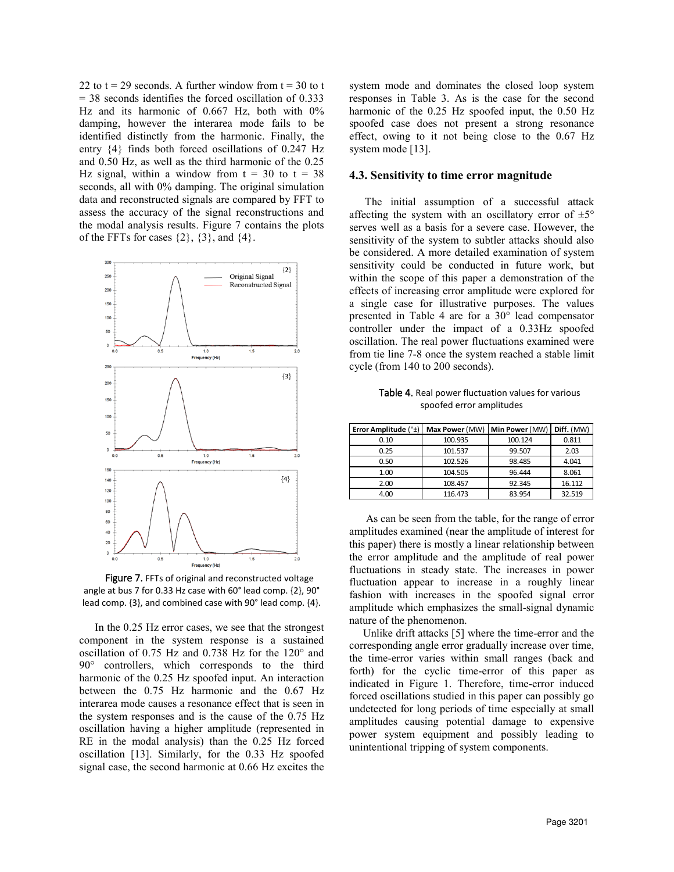22 to  $t = 29$  seconds. A further window from  $t = 30$  to t  $= 38$  seconds identifies the forced oscillation of 0.333 Hz and its harmonic of 0.667 Hz, both with 0% damping, however the interarea mode fails to be identified distinctly from the harmonic. Finally, the entry {4} finds both forced oscillations of 0.247 Hz and 0.50 Hz, as well as the third harmonic of the 0.25 Hz signal, within a window from  $t = 30$  to  $t = 38$ seconds, all with 0% damping. The original simulation data and reconstructed signals are compared by FFT to assess the accuracy of the signal reconstructions and the modal analysis results. Figure 7 contains the plots of the FFTs for cases  $\{2\}$ ,  $\{3\}$ , and  $\{4\}$ .



Figure 7. FFTs of original and reconstructed voltage angle at bus 7 for 0.33 Hz case with 60° lead comp. {2}, 90° lead comp. {3}, and combined case with 90° lead comp. {4}.

In the 0.25 Hz error cases, we see that the strongest component in the system response is a sustained oscillation of 0.75 Hz and 0.738 Hz for the 120° and 90° controllers, which corresponds to the third harmonic of the 0.25 Hz spoofed input. An interaction between the 0.75 Hz harmonic and the 0.67 Hz interarea mode causes a resonance effect that is seen in the system responses and is the cause of the 0.75 Hz oscillation having a higher amplitude (represented in RE in the modal analysis) than the 0.25 Hz forced oscillation [13]. Similarly, for the 0.33 Hz spoofed signal case, the second harmonic at 0.66 Hz excites the system mode and dominates the closed loop system responses in Table 3. As is the case for the second harmonic of the 0.25 Hz spoofed input, the 0.50 Hz spoofed case does not present a strong resonance effect, owing to it not being close to the 0.67 Hz system mode [13].

## **4.3. Sensitivity to time error magnitude**

The initial assumption of a successful attack affecting the system with an oscillatory error of  $\pm 5^{\circ}$ serves well as a basis for a severe case. However, the sensitivity of the system to subtler attacks should also be considered. A more detailed examination of system sensitivity could be conducted in future work, but within the scope of this paper a demonstration of the effects of increasing error amplitude were explored for a single case for illustrative purposes. The values presented in Table 4 are for a 30° lead compensator controller under the impact of a 0.33Hz spoofed oscillation. The real power fluctuations examined were from tie line 7-8 once the system reached a stable limit cycle (from 140 to 200 seconds).

Table 4. Real power fluctuation values for various spoofed error amplitudes

| Error Amplitude (°±) | Max Power (MW) | Min Power (MW) | Diff. (MW) |
|----------------------|----------------|----------------|------------|
| 0.10                 | 100.935        | 100.124        | 0.811      |
| 0.25                 | 101.537        | 99.507         | 2.03       |
| 0.50                 | 102.526        | 98.485         | 4.041      |
| 1.00                 | 104.505        | 96.444         | 8.061      |
| 2.00                 | 108.457        | 92.345         | 16.112     |
| 4.00                 | 116.473        | 83.954         | 32.519     |

 As can be seen from the table, for the range of error amplitudes examined (near the amplitude of interest for this paper) there is mostly a linear relationship between the error amplitude and the amplitude of real power fluctuations in steady state. The increases in power fluctuation appear to increase in a roughly linear fashion with increases in the spoofed signal error amplitude which emphasizes the small-signal dynamic nature of the phenomenon.

 Unlike drift attacks [5] where the time-error and the corresponding angle error gradually increase over time, the time-error varies within small ranges (back and forth) for the cyclic time-error of this paper as indicated in Figure 1. Therefore, time-error induced forced oscillations studied in this paper can possibly go undetected for long periods of time especially at small amplitudes causing potential damage to expensive power system equipment and possibly leading to unintentional tripping of system components.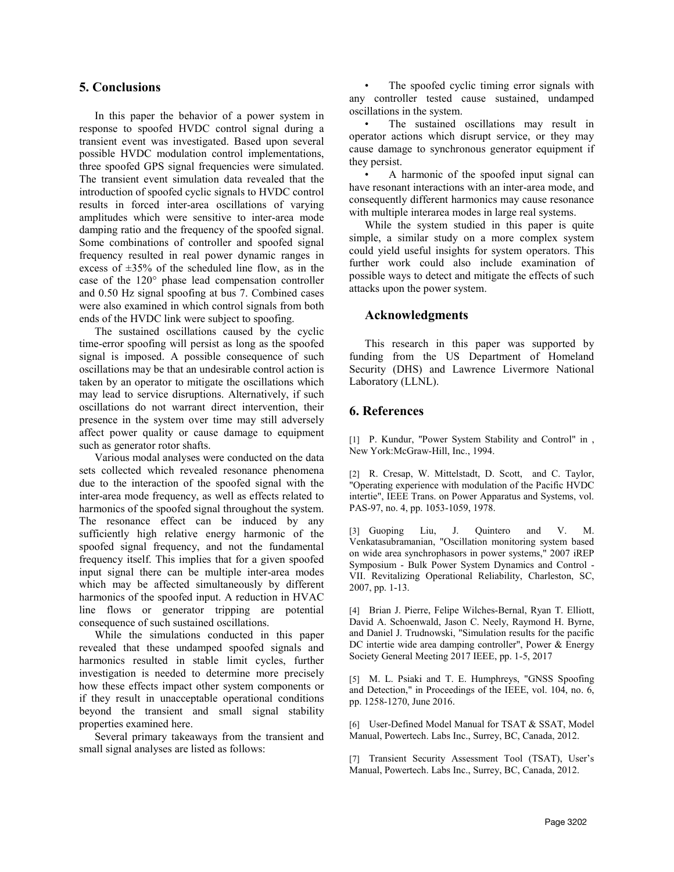## **5. Conclusions**

In this paper the behavior of a power system in response to spoofed HVDC control signal during a transient event was investigated. Based upon several possible HVDC modulation control implementations, three spoofed GPS signal frequencies were simulated. The transient event simulation data revealed that the introduction of spoofed cyclic signals to HVDC control results in forced inter-area oscillations of varying amplitudes which were sensitive to inter-area mode damping ratio and the frequency of the spoofed signal. Some combinations of controller and spoofed signal frequency resulted in real power dynamic ranges in excess of  $\pm 35\%$  of the scheduled line flow, as in the case of the 120° phase lead compensation controller and 0.50 Hz signal spoofing at bus 7. Combined cases were also examined in which control signals from both ends of the HVDC link were subject to spoofing.

The sustained oscillations caused by the cyclic time-error spoofing will persist as long as the spoofed signal is imposed. A possible consequence of such oscillations may be that an undesirable control action is taken by an operator to mitigate the oscillations which may lead to service disruptions. Alternatively, if such oscillations do not warrant direct intervention, their presence in the system over time may still adversely affect power quality or cause damage to equipment such as generator rotor shafts.

Various modal analyses were conducted on the data sets collected which revealed resonance phenomena due to the interaction of the spoofed signal with the inter-area mode frequency, as well as effects related to harmonics of the spoofed signal throughout the system. The resonance effect can be induced by any sufficiently high relative energy harmonic of the spoofed signal frequency, and not the fundamental frequency itself. This implies that for a given spoofed input signal there can be multiple inter-area modes which may be affected simultaneously by different harmonics of the spoofed input. A reduction in HVAC line flows or generator tripping are potential consequence of such sustained oscillations.

While the simulations conducted in this paper revealed that these undamped spoofed signals and harmonics resulted in stable limit cycles, further investigation is needed to determine more precisely how these effects impact other system components or if they result in unacceptable operational conditions beyond the transient and small signal stability properties examined here.

Several primary takeaways from the transient and small signal analyses are listed as follows:

The spoofed cyclic timing error signals with any controller tested cause sustained, undamped oscillations in the system.

The sustained oscillations may result in operator actions which disrupt service, or they may cause damage to synchronous generator equipment if they persist.

• A harmonic of the spoofed input signal can have resonant interactions with an inter-area mode, and consequently different harmonics may cause resonance with multiple interarea modes in large real systems.

While the system studied in this paper is quite simple, a similar study on a more complex system could yield useful insights for system operators. This further work could also include examination of possible ways to detect and mitigate the effects of such attacks upon the power system.

## **Acknowledgments**

This research in this paper was supported by funding from the US Department of Homeland Security (DHS) and Lawrence Livermore National Laboratory (LLNL).

## **6. References**

[1] P. Kundur, "Power System Stability and Control" in , New York:McGraw-Hill, Inc., 1994.

[2] R. Cresap, W. Mittelstadt, D. Scott, and C. Taylor, "Operating experience with modulation of the Pacific HVDC intertie", IEEE Trans. on Power Apparatus and Systems, vol. PAS-97, no. 4, pp. 1053-1059, 1978.

[3] Guoping Liu, J. Quintero and V. M. Venkatasubramanian, "Oscillation monitoring system based on wide area synchrophasors in power systems," 2007 iREP Symposium - Bulk Power System Dynamics and Control - VII. Revitalizing Operational Reliability, Charleston, SC, 2007, pp. 1-13.

[4] Brian J. Pierre, Felipe Wilches-Bernal, Ryan T. Elliott, David A. Schoenwald, Jason C. Neely, Raymond H. Byrne, and Daniel J. Trudnowski, "Simulation results for the pacific DC intertie wide area damping controller", Power & Energy Society General Meeting 2017 IEEE, pp. 1-5, 2017

[5] M. L. Psiaki and T. E. Humphreys, "GNSS Spoofing and Detection," in Proceedings of the IEEE, vol. 104, no. 6, pp. 1258-1270, June 2016.

[6] User-Defined Model Manual for TSAT & SSAT, Model Manual, Powertech. Labs Inc., Surrey, BC, Canada, 2012.

[7] Transient Security Assessment Tool (TSAT), User's Manual, Powertech. Labs Inc., Surrey, BC, Canada, 2012.